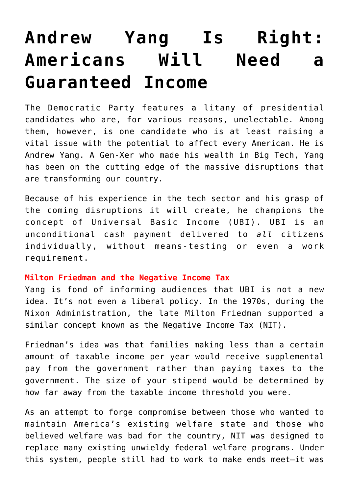# **[Andrew Yang Is Right:](https://intellectualtakeout.org/2019/03/andrew-yang-is-right-americans-will-need-a-guaranteed-income/) [Americans Will Need a](https://intellectualtakeout.org/2019/03/andrew-yang-is-right-americans-will-need-a-guaranteed-income/) [Guaranteed Income](https://intellectualtakeout.org/2019/03/andrew-yang-is-right-americans-will-need-a-guaranteed-income/)**

The Democratic Party features a litany of presidential candidates who are, for various reasons, unelectable. Among them, however, is one candidate who is at least raising a vital issue with the potential to affect every American. He is Andrew Yang. A Gen-Xer who made his wealth in Big Tech, Yang has been on the cutting edge of the massive disruptions that are transforming our country.

Because of his experience in the tech sector and his grasp of the coming disruptions it will create, he champions the concept of Universal Basic Income (UBI). UBI is an unconditional cash payment delivered to *all* citizens individually, without means-testing or even a work requirement.

## **Milton Friedman and the Negative Income Tax**

Yang is fond of informing audiences that UBI is not a new idea. It's not even a liberal policy. In the 1970s, during the Nixon Administration, the late Milton Friedman supported a similar concept known as the Negative Income Tax (NIT).

Friedman's idea was that families making less than a certain amount of taxable income per year would receive supplemental pay from the government rather than paying taxes to the government. The size of your stipend would be determined by how far away from the taxable income threshold you were.

As an attempt to forge compromise between those who wanted to maintain America's existing welfare state and those who believed welfare was bad for the country, NIT was designed to replace many existing unwieldy federal welfare programs. Under this system, people still had to work to make ends meet—it was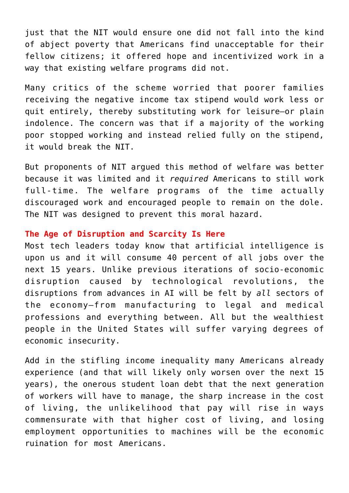just that the NIT would ensure one did not fall into the kind of abject poverty that Americans find unacceptable for their fellow citizens; it offered hope and incentivized work in a way that existing welfare programs did not.

Many critics of the scheme worried that poorer families receiving the negative income tax stipend would work less or quit entirely, thereby substituting work for leisure—or plain indolence. The concern was that if a majority of the working poor stopped working and instead relied fully on the stipend, it would break the NIT.

But proponents of NIT argued this method of welfare was better because it was limited and it *required* Americans to still work full-time. The welfare programs of the time actually discouraged work and encouraged people to remain on the dole. The NIT was designed to prevent this moral hazard.

## **The Age of Disruption and Scarcity Is Here**

Most tech leaders today know that artificial intelligence is upon us and it will consume 40 percent of all jobs over the next 15 years. Unlike previous iterations of socio-economic disruption caused by technological revolutions, the disruptions from advances in AI will be felt by *all* sectors of the economy—from manufacturing to legal and medical professions and everything between. All but the wealthiest people in the United States will suffer varying degrees of economic insecurity.

Add in the stifling income inequality many Americans already experience (and that will likely only worsen over the next 15 years), the onerous student loan debt that the next generation of workers will have to manage, the sharp increase in the cost of living, the unlikelihood that pay will rise in ways commensurate with that higher cost of living, and losing employment opportunities to machines will be the economic ruination for most Americans.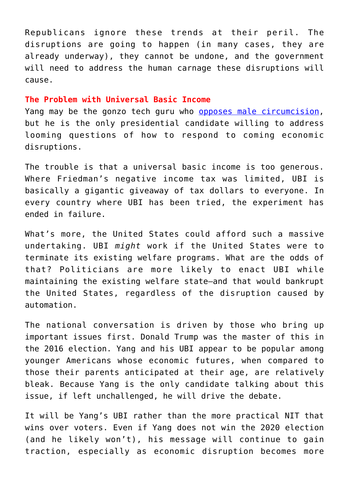Republicans ignore these trends at their peril. The disruptions are going to happen (in many cases, they are already underway), they cannot be undone, and the government will need to address the human carnage these disruptions will cause.

#### **The Problem with Universal Basic Income**

Yang may be the gonzo tech guru who [opposes male circumcision,](https://www.powerlineblog.com/archives/2019/03/a-new-dem-um-front-runner.php) but he is the only presidential candidate willing to address looming questions of how to respond to coming economic disruptions.

The trouble is that a universal basic income is too generous. Where Friedman's negative income tax was limited, UBI is basically a gigantic giveaway of tax dollars to everyone. In every country where UBI has been tried, the experiment has ended in failure.

What's more, the United States could afford such a massive undertaking. UBI *might* work if the United States were to terminate its existing welfare programs. What are the odds of that? Politicians are more likely to enact UBI while maintaining the existing welfare state—and that would bankrupt the United States, regardless of the disruption caused by automation.

The national conversation is driven by those who bring up important issues first. Donald Trump was the master of this in the 2016 election. Yang and his UBI appear to be popular among younger Americans whose economic futures, when compared to those their parents anticipated at their age, are relatively bleak. Because Yang is the only candidate talking about this issue, if left unchallenged, he will drive the debate.

It will be Yang's UBI rather than the more practical NIT that wins over voters. Even if Yang does not win the 2020 election (and he likely won't), his message will continue to gain traction, especially as economic disruption becomes more